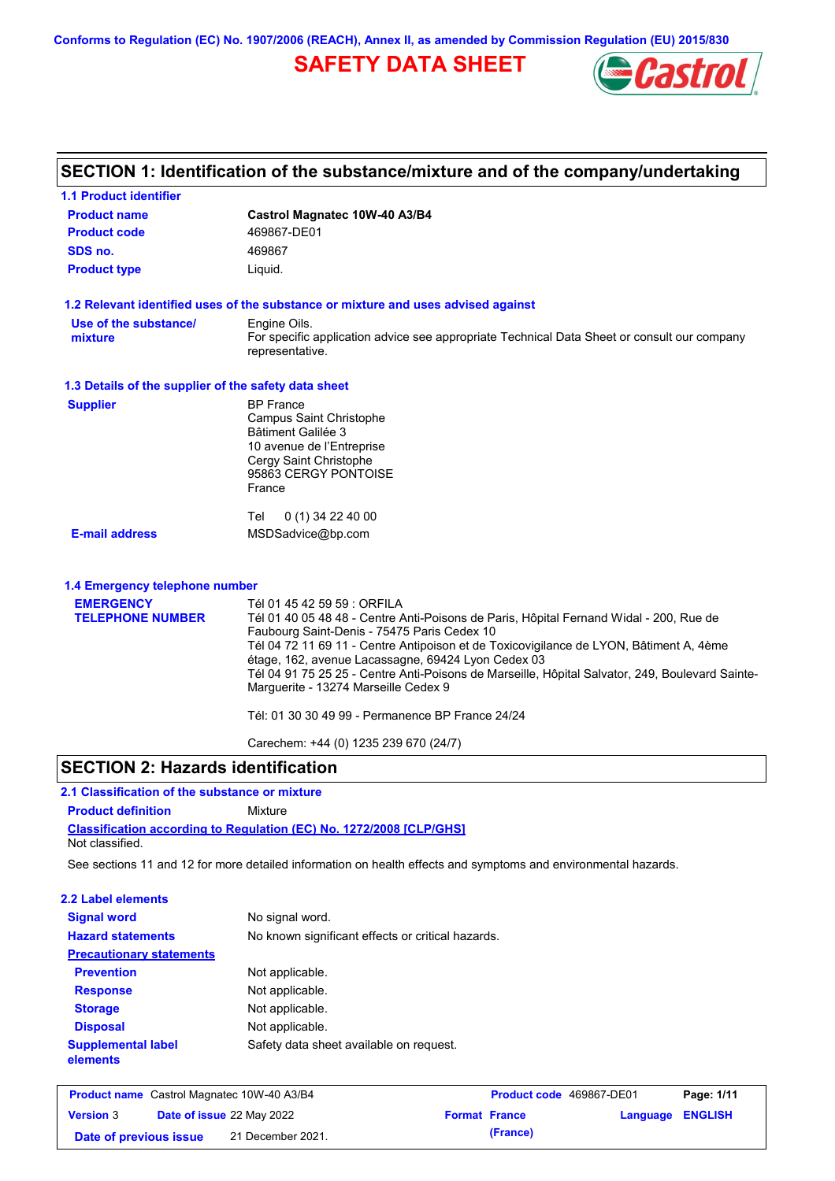**Conforms to Regulation (EC) No. 1907/2006 (REACH), Annex II, as amended by Commission Regulation (EU) 2015/830**

# **SAFETY DATA SHEET**



| <b>1.1 Product identifier</b>                        |                                                                                                                                                       |
|------------------------------------------------------|-------------------------------------------------------------------------------------------------------------------------------------------------------|
| <b>Product name</b>                                  | Castrol Magnatec 10W-40 A3/B4                                                                                                                         |
| <b>Product code</b>                                  | 469867-DE01                                                                                                                                           |
| SDS no.                                              | 469867                                                                                                                                                |
| <b>Product type</b>                                  | Liquid.                                                                                                                                               |
|                                                      | 1.2 Relevant identified uses of the substance or mixture and uses advised against                                                                     |
| Use of the substance/                                | Engine Oils.                                                                                                                                          |
| mixture                                              | For specific application advice see appropriate Technical Data Sheet or consult our company<br>representative.                                        |
| 1.3 Details of the supplier of the safety data sheet |                                                                                                                                                       |
| <b>Supplier</b>                                      | <b>BP</b> France                                                                                                                                      |
|                                                      | Campus Saint Christophe                                                                                                                               |
|                                                      | Bâtiment Galilée 3<br>10 avenue de l'Entreprise                                                                                                       |
|                                                      | Cergy Saint Christophe                                                                                                                                |
|                                                      | 95863 CERGY PONTOISE                                                                                                                                  |
|                                                      | France                                                                                                                                                |
|                                                      | Tel<br>$0(1)$ 34 22 40 00                                                                                                                             |
| <b>E-mail address</b>                                | MSDSadvice@bp.com                                                                                                                                     |
| 1.4 Emergency telephone number                       |                                                                                                                                                       |
| <b>EMERGENCY</b>                                     | Tél 01 45 42 59 59 : ORFILA                                                                                                                           |
| <b>TELEPHONE NUMBER</b>                              | Tél 01 40 05 48 48 - Centre Anti-Poisons de Paris, Hôpital Fernand Widal - 200, Rue de                                                                |
|                                                      | Faubourg Saint-Denis - 75475 Paris Cedex 10                                                                                                           |
|                                                      | Tél 04 72 11 69 11 - Centre Antipoison et de Toxicovigilance de LYON, Bâtiment A, 4ème                                                                |
|                                                      | étage, 162, avenue Lacassagne, 69424 Lyon Cedex 03<br>Tél 04 91 75 25 25 - Centre Anti-Poisons de Marseille, Hôpital Salvator, 249, Boulevard Sainte- |
|                                                      | Marguerite - 13274 Marseille Cedex 9                                                                                                                  |
|                                                      | Tél: 01 30 30 49 99 - Permanence BP France 24/24                                                                                                      |
|                                                      |                                                                                                                                                       |

Carechem: +44 (0) 1235 239 670 (24/7)

## **SECTION 2: Hazards identification**

# **2.1 Classification of the substance or mixture**

**Classification according to Regulation (EC) No. 1272/2008 [CLP/GHS] Product definition** Mixture Not classified.

See sections 11 and 12 for more detailed information on health effects and symptoms and environmental hazards.

## **2.2 Label elements**

| <b>Signal word</b>                    | No signal word.                                   |
|---------------------------------------|---------------------------------------------------|
| <b>Hazard statements</b>              | No known significant effects or critical hazards. |
| <b>Precautionary statements</b>       |                                                   |
| <b>Prevention</b>                     | Not applicable.                                   |
| <b>Response</b>                       | Not applicable.                                   |
| <b>Storage</b>                        | Not applicable.                                   |
| <b>Disposal</b>                       | Not applicable.                                   |
| <b>Supplemental label</b><br>elements | Safety data sheet available on request.           |

| <b>Product name</b> Castrol Magnatec 10W-40 A3/B4 |  | Product code 469867-DE01         |  | Page: 1/11           |                         |  |
|---------------------------------------------------|--|----------------------------------|--|----------------------|-------------------------|--|
| <b>Version 3</b>                                  |  | <b>Date of issue 22 May 2022</b> |  | <b>Format France</b> | <b>Language ENGLISH</b> |  |
| Date of previous issue                            |  | 21 December 2021.                |  | (France)             |                         |  |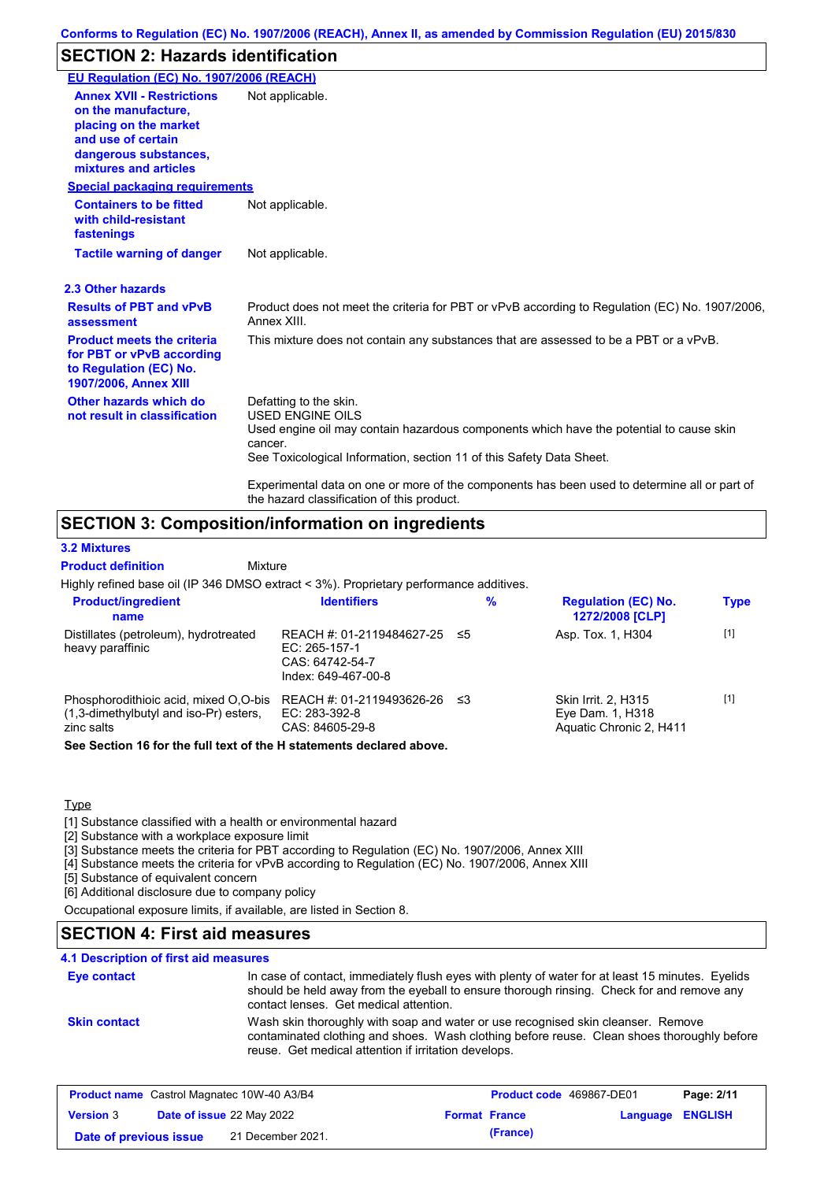# **SECTION 2: Hazards identification**

| EU Regulation (EC) No. 1907/2006 (REACH)                                                                                                                 |                                                                                                                                                                                                                                                                                                                                                                               |
|----------------------------------------------------------------------------------------------------------------------------------------------------------|-------------------------------------------------------------------------------------------------------------------------------------------------------------------------------------------------------------------------------------------------------------------------------------------------------------------------------------------------------------------------------|
| <b>Annex XVII - Restrictions</b><br>on the manufacture.<br>placing on the market<br>and use of certain<br>dangerous substances,<br>mixtures and articles | Not applicable.                                                                                                                                                                                                                                                                                                                                                               |
| <b>Special packaging requirements</b>                                                                                                                    |                                                                                                                                                                                                                                                                                                                                                                               |
| <b>Containers to be fitted</b><br>with child-resistant<br>fastenings                                                                                     | Not applicable.                                                                                                                                                                                                                                                                                                                                                               |
| <b>Tactile warning of danger</b>                                                                                                                         | Not applicable.                                                                                                                                                                                                                                                                                                                                                               |
| 2.3 Other hazards                                                                                                                                        |                                                                                                                                                                                                                                                                                                                                                                               |
| <b>Results of PBT and vPvB</b><br>assessment                                                                                                             | Product does not meet the criteria for PBT or vPvB according to Regulation (EC) No. 1907/2006,<br>Annex XIII.                                                                                                                                                                                                                                                                 |
| <b>Product meets the criteria</b><br>for PBT or vPvB according<br>to Regulation (EC) No.<br><b>1907/2006, Annex XIII</b>                                 | This mixture does not contain any substances that are assessed to be a PBT or a vPvB.                                                                                                                                                                                                                                                                                         |
| Other hazards which do<br>not result in classification                                                                                                   | Defatting to the skin.<br><b>USED ENGINE OILS</b><br>Used engine oil may contain hazardous components which have the potential to cause skin<br>cancer.<br>See Toxicological Information, section 11 of this Safety Data Sheet.<br>Experimental data on one or more of the components has been used to determine all or part of<br>the hazard classification of this product. |

# **SECTION 3: Composition/information on ingredients**

Mixture

### **3.2 Mixtures**

**Product definition**

Highly refined base oil (IP 346 DMSO extract < 3%). Proprietary performance additives.

| <b>Product/ingredient</b><br>name                                                             | <b>Identifiers</b>                                                                      |     | $\%$ | <b>Regulation (EC) No.</b><br>1272/2008 [CLP]                      | <b>Type</b> |
|-----------------------------------------------------------------------------------------------|-----------------------------------------------------------------------------------------|-----|------|--------------------------------------------------------------------|-------------|
| Distillates (petroleum), hydrotreated<br>heavy paraffinic                                     | REACH #: 01-2119484627-25 ≤5<br>EC: 265-157-1<br>CAS: 64742-54-7<br>Index: 649-467-00-8 |     |      | Asp. Tox. 1, H304                                                  | $[1]$       |
| Phosphorodithioic acid, mixed O,O-bis<br>(1,3-dimethylbutyl and iso-Pr) esters,<br>zinc salts | REACH #: 01-2119493626-26<br>EC: 283-392-8<br>CAS: 84605-29-8                           | -≤3 |      | Skin Irrit. 2, H315<br>Eye Dam. 1, H318<br>Aquatic Chronic 2, H411 | $[1]$       |
| Can Cantinu dC fauthen full taut of the Hintermante dealered about                            |                                                                                         |     |      |                                                                    |             |

**See Section 16 for the full text of the H statements declared above.**

### **Type**

[1] Substance classified with a health or environmental hazard

[2] Substance with a workplace exposure limit

[3] Substance meets the criteria for PBT according to Regulation (EC) No. 1907/2006, Annex XIII

[4] Substance meets the criteria for vPvB according to Regulation (EC) No. 1907/2006, Annex XIII

[5] Substance of equivalent concern

[6] Additional disclosure due to company policy

Occupational exposure limits, if available, are listed in Section 8.

# **SECTION 4: First aid measures**

### In case of contact, immediately flush eyes with plenty of water for at least 15 minutes. Eyelids should be held away from the eyeball to ensure thorough rinsing. Check for and remove any contact lenses. Get medical attention. **4.1 Description of first aid measures Eye contact Skin contact** Wash skin thoroughly with soap and water or use recognised skin cleanser. Remove contaminated clothing and shoes. Wash clothing before reuse. Clean shoes thoroughly before reuse. Get medical attention if irritation develops.

| <b>Product name</b> Castrol Magnatec 10W-40 A3/B4 |  |                                  | <b>Product code</b> 469867-DE01 |                      | Page: 2/11              |  |
|---------------------------------------------------|--|----------------------------------|---------------------------------|----------------------|-------------------------|--|
| <b>Version 3</b>                                  |  | <b>Date of issue 22 May 2022</b> |                                 | <b>Format France</b> | <b>Language ENGLISH</b> |  |
| Date of previous issue                            |  | 21 December 2021.                |                                 | (France)             |                         |  |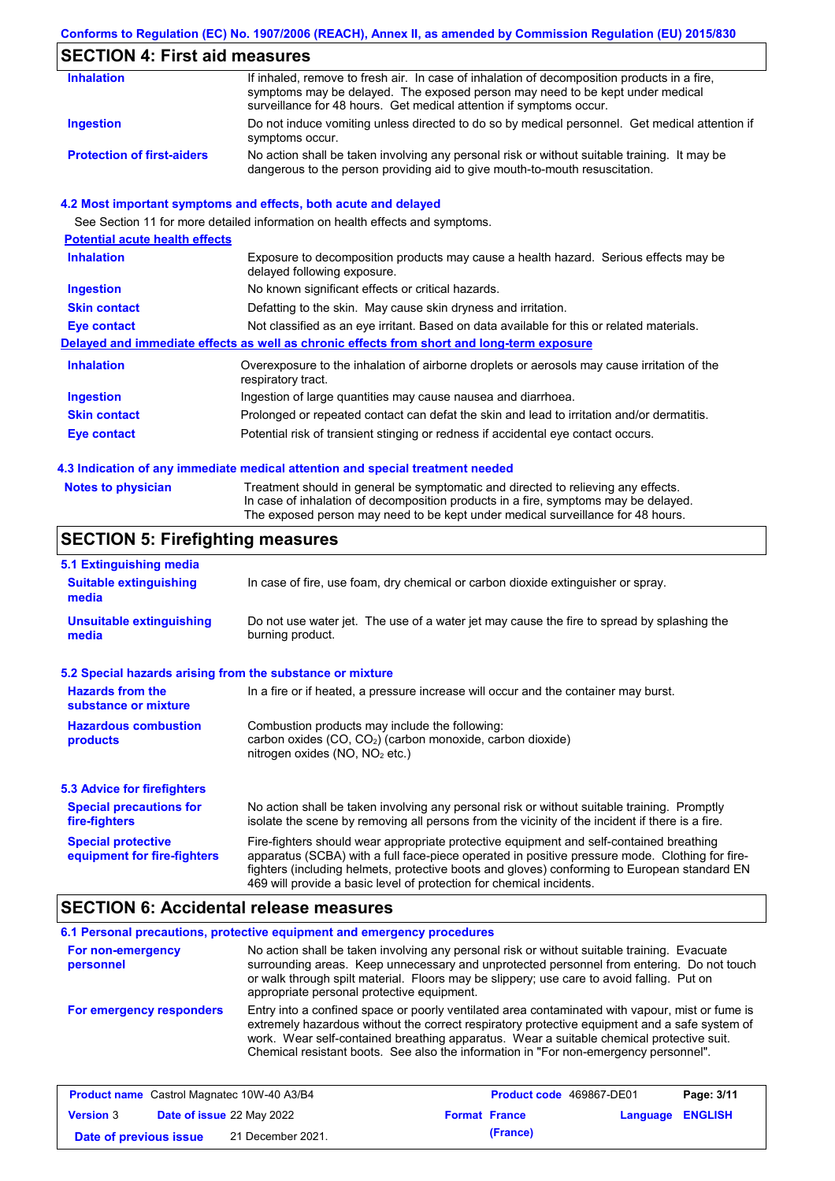### **Conforms to Regulation (EC) No. 1907/2006 (REACH), Annex II, as amended by Commission Regulation (EU) 2015/830**

# **SECTION 4: First aid measures**

| <b>Inhalation</b>                 | If inhaled, remove to fresh air. In case of inhalation of decomposition products in a fire,<br>symptoms may be delayed. The exposed person may need to be kept under medical<br>surveillance for 48 hours. Get medical attention if symptoms occur. |
|-----------------------------------|-----------------------------------------------------------------------------------------------------------------------------------------------------------------------------------------------------------------------------------------------------|
| Ingestion                         | Do not induce vomiting unless directed to do so by medical personnel. Get medical attention if<br>symptoms occur.                                                                                                                                   |
| <b>Protection of first-aiders</b> | No action shall be taken involving any personal risk or without suitable training. It may be<br>dangerous to the person providing aid to give mouth-to-mouth resuscitation.                                                                         |

### **4.2 Most important symptoms and effects, both acute and delayed**

|                                       | See Section 11 for more detailed information on health effects and symptoms.                                        |
|---------------------------------------|---------------------------------------------------------------------------------------------------------------------|
| <b>Potential acute health effects</b> |                                                                                                                     |
| <b>Inhalation</b>                     | Exposure to decomposition products may cause a health hazard. Serious effects may be<br>delayed following exposure. |
| <b>Ingestion</b>                      | No known significant effects or critical hazards.                                                                   |
| <b>Skin contact</b>                   | Defatting to the skin. May cause skin dryness and irritation.                                                       |
| <b>Eye contact</b>                    | Not classified as an eye irritant. Based on data available for this or related materials.                           |
|                                       | Delayed and immediate effects as well as chronic effects from short and long-term exposure                          |
| <b>Inhalation</b>                     | Overexposure to the inhalation of airborne droplets or aerosols may cause irritation of the<br>respiratory tract.   |
| Ingestion                             | Ingestion of large quantities may cause nausea and diarrhoea.                                                       |
| <b>Skin contact</b>                   | Prolonged or repeated contact can defat the skin and lead to irritation and/or dermatitis.                          |
| Eye contact                           | Potential risk of transient stinging or redness if accidental eye contact occurs.                                   |
|                                       |                                                                                                                     |

### **4.3 Indication of any immediate medical attention and special treatment needed**

| <b>Notes to physician</b> |  |
|---------------------------|--|
|---------------------------|--|

Treatment should in general be symptomatic and directed to relieving any effects. In case of inhalation of decomposition products in a fire, symptoms may be delayed. The exposed person may need to be kept under medical surveillance for 48 hours.

# **SECTION 5: Firefighting measures**

| 5.1 Extinguishing media                                                                                                                                                                                     |                                                                                                                                                                                                                                                                                                                                                                   |  |  |
|-------------------------------------------------------------------------------------------------------------------------------------------------------------------------------------------------------------|-------------------------------------------------------------------------------------------------------------------------------------------------------------------------------------------------------------------------------------------------------------------------------------------------------------------------------------------------------------------|--|--|
| <b>Suitable extinguishing</b><br>media                                                                                                                                                                      | In case of fire, use foam, dry chemical or carbon dioxide extinguisher or spray.                                                                                                                                                                                                                                                                                  |  |  |
| <b>Unsuitable extinguishing</b><br>Do not use water jet. The use of a water jet may cause the fire to spread by splashing the<br>burning product.<br>media                                                  |                                                                                                                                                                                                                                                                                                                                                                   |  |  |
| 5.2 Special hazards arising from the substance or mixture                                                                                                                                                   |                                                                                                                                                                                                                                                                                                                                                                   |  |  |
| <b>Hazards from the</b><br>substance or mixture                                                                                                                                                             | In a fire or if heated, a pressure increase will occur and the container may burst.                                                                                                                                                                                                                                                                               |  |  |
| Combustion products may include the following:<br><b>Hazardous combustion</b><br>carbon oxides (CO, CO <sub>2</sub> ) (carbon monoxide, carbon dioxide)<br>products<br>nitrogen oxides ( $NO$ , $NO2$ etc.) |                                                                                                                                                                                                                                                                                                                                                                   |  |  |
| 5.3 Advice for firefighters                                                                                                                                                                                 |                                                                                                                                                                                                                                                                                                                                                                   |  |  |
| <b>Special precautions for</b><br>fire-fighters                                                                                                                                                             | No action shall be taken involving any personal risk or without suitable training. Promptly<br>isolate the scene by removing all persons from the vicinity of the incident if there is a fire.                                                                                                                                                                    |  |  |
| <b>Special protective</b><br>equipment for fire-fighters                                                                                                                                                    | Fire-fighters should wear appropriate protective equipment and self-contained breathing<br>apparatus (SCBA) with a full face-piece operated in positive pressure mode. Clothing for fire-<br>fighters (including helmets, protective boots and gloves) conforming to European standard EN<br>469 will provide a basic level of protection for chemical incidents. |  |  |

## **SECTION 6: Accidental release measures**

#### **6.1 Personal precautions, protective equipment and emergency procedures For non-emergency personnel For emergency responders** No action shall be taken involving any personal risk or without suitable training. Evacuate surrounding areas. Keep unnecessary and unprotected personnel from entering. Do not touch or walk through spilt material. Floors may be slippery; use care to avoid falling. Put on appropriate personal protective equipment. Entry into a confined space or poorly ventilated area contaminated with vapour, mist or fume is extremely hazardous without the correct respiratory protective equipment and a safe system of work. Wear self-contained breathing apparatus. Wear a suitable chemical protective suit. Chemical resistant boots. See also the information in "For non-emergency personnel".

| <b>Product name</b> Castrol Magnatec 10W-40 A3/B4 |  |                                  | <b>Product code</b> 469867-DE01 |                      | Page: 3/11       |  |
|---------------------------------------------------|--|----------------------------------|---------------------------------|----------------------|------------------|--|
| <b>Version 3</b>                                  |  | <b>Date of issue 22 May 2022</b> |                                 | <b>Format France</b> | Language ENGLISH |  |
| Date of previous issue                            |  | 21 December 2021.                |                                 | (France)             |                  |  |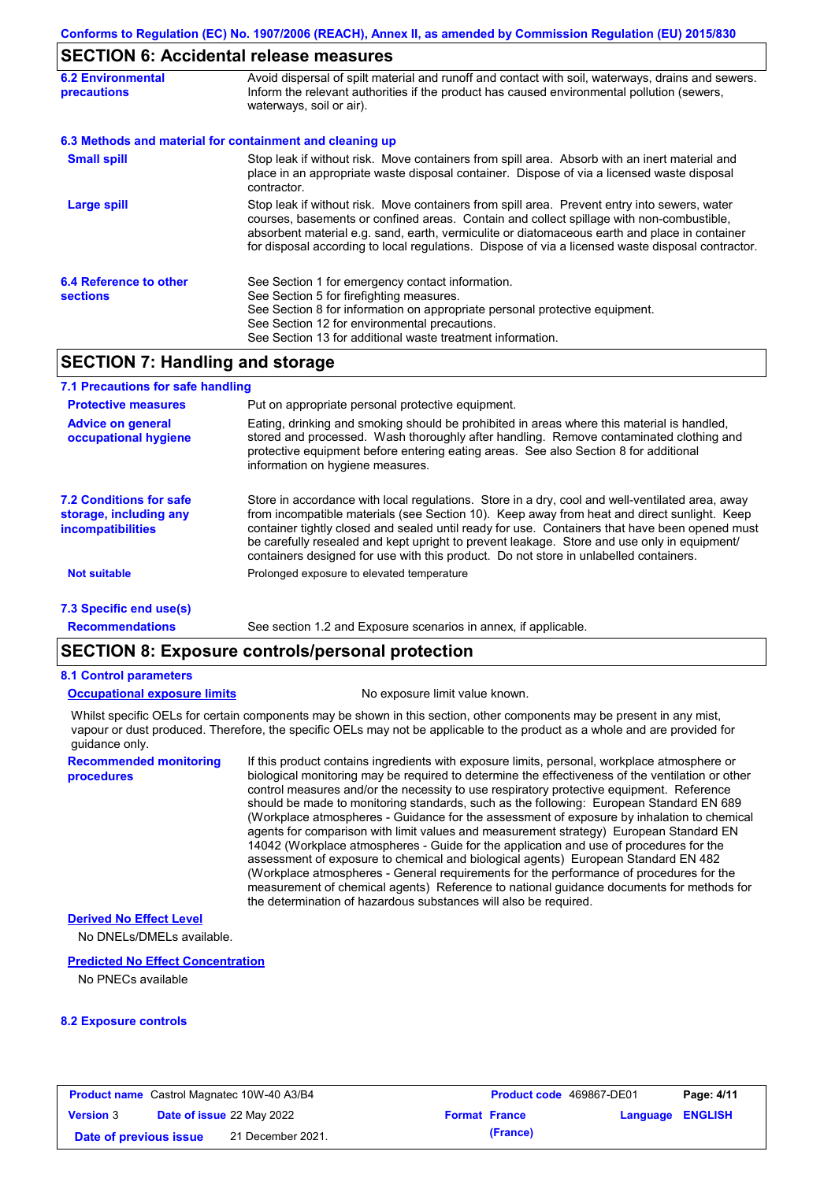# **SECTION 6: Accidental release measures**

| <b>6.2 Environmental</b><br><b>precautions</b> | Avoid dispersal of spilt material and runoff and contact with soil, waterways, drains and sewers.<br>Inform the relevant authorities if the product has caused environmental pollution (sewers,<br>waterways, soil or air).                                                                                                                                                                    |  |  |  |
|------------------------------------------------|------------------------------------------------------------------------------------------------------------------------------------------------------------------------------------------------------------------------------------------------------------------------------------------------------------------------------------------------------------------------------------------------|--|--|--|
|                                                | 6.3 Methods and material for containment and cleaning up                                                                                                                                                                                                                                                                                                                                       |  |  |  |
| <b>Small spill</b>                             | Stop leak if without risk. Move containers from spill area. Absorb with an inert material and<br>place in an appropriate waste disposal container. Dispose of via a licensed waste disposal<br>contractor.                                                                                                                                                                                     |  |  |  |
| Large spill                                    | Stop leak if without risk. Move containers from spill area. Prevent entry into sewers, water<br>courses, basements or confined areas. Contain and collect spillage with non-combustible,<br>absorbent material e.g. sand, earth, vermiculite or diatomaceous earth and place in container<br>for disposal according to local regulations. Dispose of via a licensed waste disposal contractor. |  |  |  |
| 6.4 Reference to other<br><b>sections</b>      | See Section 1 for emergency contact information.<br>See Section 5 for firefighting measures.<br>See Section 8 for information on appropriate personal protective equipment.<br>See Section 12 for environmental precautions.<br>See Section 13 for additional waste treatment information.                                                                                                     |  |  |  |

# **SECTION 7: Handling and storage**

| 7.1 Precautions for safe handling                                                    |                                                                                                                                                                                                                                                                                                                                                                                                                                                                                          |
|--------------------------------------------------------------------------------------|------------------------------------------------------------------------------------------------------------------------------------------------------------------------------------------------------------------------------------------------------------------------------------------------------------------------------------------------------------------------------------------------------------------------------------------------------------------------------------------|
| <b>Protective measures</b>                                                           | Put on appropriate personal protective equipment.                                                                                                                                                                                                                                                                                                                                                                                                                                        |
| <b>Advice on general</b><br>occupational hygiene                                     | Eating, drinking and smoking should be prohibited in areas where this material is handled,<br>stored and processed. Wash thoroughly after handling. Remove contaminated clothing and<br>protective equipment before entering eating areas. See also Section 8 for additional<br>information on hygiene measures.                                                                                                                                                                         |
| <b>7.2 Conditions for safe</b><br>storage, including any<br><i>incompatibilities</i> | Store in accordance with local requlations. Store in a dry, cool and well-ventilated area, away<br>from incompatible materials (see Section 10). Keep away from heat and direct sunlight. Keep<br>container tightly closed and sealed until ready for use. Containers that have been opened must<br>be carefully resealed and kept upright to prevent leakage. Store and use only in equipment/<br>containers designed for use with this product. Do not store in unlabelled containers. |
| <b>Not suitable</b>                                                                  | Prolonged exposure to elevated temperature                                                                                                                                                                                                                                                                                                                                                                                                                                               |
| 7.3 Specific end use(s)                                                              |                                                                                                                                                                                                                                                                                                                                                                                                                                                                                          |
| <b>Recommendations</b>                                                               | See section 1.2 and Exposure scenarios in annex, if applicable.                                                                                                                                                                                                                                                                                                                                                                                                                          |

# **SECTION 8: Exposure controls/personal protection**

### **8.1 Control parameters**

### **Occupational exposure limits** No exposure limit value known.

Whilst specific OELs for certain components may be shown in this section, other components may be present in any mist, vapour or dust produced. Therefore, the specific OELs may not be applicable to the product as a whole and are provided for guidance only.

**Recommended monitoring procedures**

If this product contains ingredients with exposure limits, personal, workplace atmosphere or biological monitoring may be required to determine the effectiveness of the ventilation or other control measures and/or the necessity to use respiratory protective equipment. Reference should be made to monitoring standards, such as the following: European Standard EN 689 (Workplace atmospheres - Guidance for the assessment of exposure by inhalation to chemical agents for comparison with limit values and measurement strategy) European Standard EN 14042 (Workplace atmospheres - Guide for the application and use of procedures for the assessment of exposure to chemical and biological agents) European Standard EN 482 (Workplace atmospheres - General requirements for the performance of procedures for the measurement of chemical agents) Reference to national guidance documents for methods for the determination of hazardous substances will also be required.

### **Derived No Effect Level**

No DNELs/DMELs available.

### **Predicted No Effect Concentration**

No PNECs available

### **8.2 Exposure controls**

|                        | <b>Product name</b> Castrol Magnatec 10W-40 A3/B4 |                      | <b>Product code</b> 469867-DE01 | Page: 4/11 |
|------------------------|---------------------------------------------------|----------------------|---------------------------------|------------|
| <b>Version</b> 3       | <b>Date of issue 22 May 2022</b>                  | <b>Format France</b> | Language ENGLISH                |            |
| Date of previous issue | 21 December 2021.                                 | (France)             |                                 |            |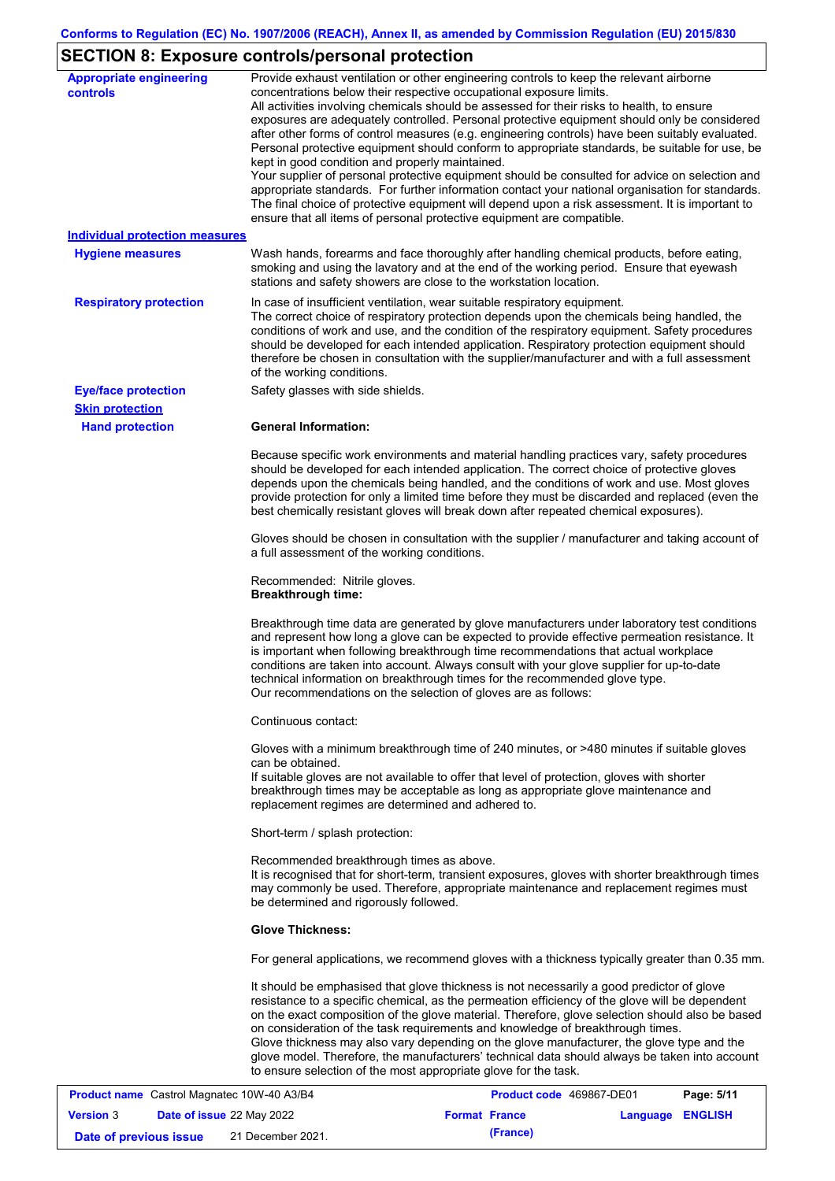# **SECTION 8: Exposure controls/personal protection**

| <b>Appropriate engineering</b><br><b>controls</b> | Provide exhaust ventilation or other engineering controls to keep the relevant airborne<br>concentrations below their respective occupational exposure limits.<br>All activities involving chemicals should be assessed for their risks to health, to ensure<br>exposures are adequately controlled. Personal protective equipment should only be considered<br>after other forms of control measures (e.g. engineering controls) have been suitably evaluated.<br>Personal protective equipment should conform to appropriate standards, be suitable for use, be<br>kept in good condition and properly maintained.<br>Your supplier of personal protective equipment should be consulted for advice on selection and<br>appropriate standards. For further information contact your national organisation for standards.<br>The final choice of protective equipment will depend upon a risk assessment. It is important to<br>ensure that all items of personal protective equipment are compatible. |
|---------------------------------------------------|---------------------------------------------------------------------------------------------------------------------------------------------------------------------------------------------------------------------------------------------------------------------------------------------------------------------------------------------------------------------------------------------------------------------------------------------------------------------------------------------------------------------------------------------------------------------------------------------------------------------------------------------------------------------------------------------------------------------------------------------------------------------------------------------------------------------------------------------------------------------------------------------------------------------------------------------------------------------------------------------------------|
| <b>Individual protection measures</b>             |                                                                                                                                                                                                                                                                                                                                                                                                                                                                                                                                                                                                                                                                                                                                                                                                                                                                                                                                                                                                         |
| <b>Hygiene measures</b>                           | Wash hands, forearms and face thoroughly after handling chemical products, before eating,<br>smoking and using the lavatory and at the end of the working period. Ensure that eyewash<br>stations and safety showers are close to the workstation location.                                                                                                                                                                                                                                                                                                                                                                                                                                                                                                                                                                                                                                                                                                                                             |
| <b>Respiratory protection</b>                     | In case of insufficient ventilation, wear suitable respiratory equipment.<br>The correct choice of respiratory protection depends upon the chemicals being handled, the<br>conditions of work and use, and the condition of the respiratory equipment. Safety procedures<br>should be developed for each intended application. Respiratory protection equipment should<br>therefore be chosen in consultation with the supplier/manufacturer and with a full assessment<br>of the working conditions.                                                                                                                                                                                                                                                                                                                                                                                                                                                                                                   |
| <b>Eye/face protection</b>                        | Safety glasses with side shields.                                                                                                                                                                                                                                                                                                                                                                                                                                                                                                                                                                                                                                                                                                                                                                                                                                                                                                                                                                       |
| <b>Skin protection</b>                            |                                                                                                                                                                                                                                                                                                                                                                                                                                                                                                                                                                                                                                                                                                                                                                                                                                                                                                                                                                                                         |
| <b>Hand protection</b>                            | <b>General Information:</b>                                                                                                                                                                                                                                                                                                                                                                                                                                                                                                                                                                                                                                                                                                                                                                                                                                                                                                                                                                             |
|                                                   | Because specific work environments and material handling practices vary, safety procedures<br>should be developed for each intended application. The correct choice of protective gloves<br>depends upon the chemicals being handled, and the conditions of work and use. Most gloves<br>provide protection for only a limited time before they must be discarded and replaced (even the<br>best chemically resistant gloves will break down after repeated chemical exposures).                                                                                                                                                                                                                                                                                                                                                                                                                                                                                                                        |
|                                                   | Gloves should be chosen in consultation with the supplier / manufacturer and taking account of<br>a full assessment of the working conditions.                                                                                                                                                                                                                                                                                                                                                                                                                                                                                                                                                                                                                                                                                                                                                                                                                                                          |
|                                                   | Recommended: Nitrile gloves.<br><b>Breakthrough time:</b>                                                                                                                                                                                                                                                                                                                                                                                                                                                                                                                                                                                                                                                                                                                                                                                                                                                                                                                                               |
|                                                   | Breakthrough time data are generated by glove manufacturers under laboratory test conditions<br>and represent how long a glove can be expected to provide effective permeation resistance. It<br>is important when following breakthrough time recommendations that actual workplace<br>conditions are taken into account. Always consult with your glove supplier for up-to-date<br>technical information on breakthrough times for the recommended glove type.<br>Our recommendations on the selection of gloves are as follows:                                                                                                                                                                                                                                                                                                                                                                                                                                                                      |
|                                                   | Continuous contact:                                                                                                                                                                                                                                                                                                                                                                                                                                                                                                                                                                                                                                                                                                                                                                                                                                                                                                                                                                                     |
|                                                   | Gloves with a minimum breakthrough time of 240 minutes, or >480 minutes if suitable gloves<br>can be obtained.<br>If suitable gloves are not available to offer that level of protection, gloves with shorter<br>breakthrough times may be acceptable as long as appropriate glove maintenance and<br>replacement regimes are determined and adhered to.                                                                                                                                                                                                                                                                                                                                                                                                                                                                                                                                                                                                                                                |
|                                                   | Short-term / splash protection:                                                                                                                                                                                                                                                                                                                                                                                                                                                                                                                                                                                                                                                                                                                                                                                                                                                                                                                                                                         |
|                                                   | Recommended breakthrough times as above.<br>It is recognised that for short-term, transient exposures, gloves with shorter breakthrough times<br>may commonly be used. Therefore, appropriate maintenance and replacement regimes must<br>be determined and rigorously followed.                                                                                                                                                                                                                                                                                                                                                                                                                                                                                                                                                                                                                                                                                                                        |
|                                                   | <b>Glove Thickness:</b>                                                                                                                                                                                                                                                                                                                                                                                                                                                                                                                                                                                                                                                                                                                                                                                                                                                                                                                                                                                 |
|                                                   | For general applications, we recommend gloves with a thickness typically greater than 0.35 mm.                                                                                                                                                                                                                                                                                                                                                                                                                                                                                                                                                                                                                                                                                                                                                                                                                                                                                                          |
|                                                   | It should be emphasised that glove thickness is not necessarily a good predictor of glove<br>resistance to a specific chemical, as the permeation efficiency of the glove will be dependent<br>on the exact composition of the glove material. Therefore, glove selection should also be based<br>on consideration of the task requirements and knowledge of breakthrough times.<br>Glove thickness may also vary depending on the glove manufacturer, the glove type and the<br>glove model. Therefore, the manufacturers' technical data should always be taken into account<br>to ensure selection of the most appropriate glove for the task.                                                                                                                                                                                                                                                                                                                                                       |
| <b>Broduct name</b> Castrol Magnatos 10W 40 A3/R4 | <b>Draduct code, 160867 DE01</b><br>Dao: E/44                                                                                                                                                                                                                                                                                                                                                                                                                                                                                                                                                                                                                                                                                                                                                                                                                                                                                                                                                           |

|                        | <b>Product name</b> Castrol Magnatec 10W-40 A3/B4 | <b>Product code</b> 469867-DE01 |                         | Page: 5/11 |
|------------------------|---------------------------------------------------|---------------------------------|-------------------------|------------|
| <b>Version 3</b>       | <b>Date of issue 22 May 2022</b>                  | <b>Format France</b>            | <b>Language ENGLISH</b> |            |
| Date of previous issue | 21 December 2021.                                 | (France)                        |                         |            |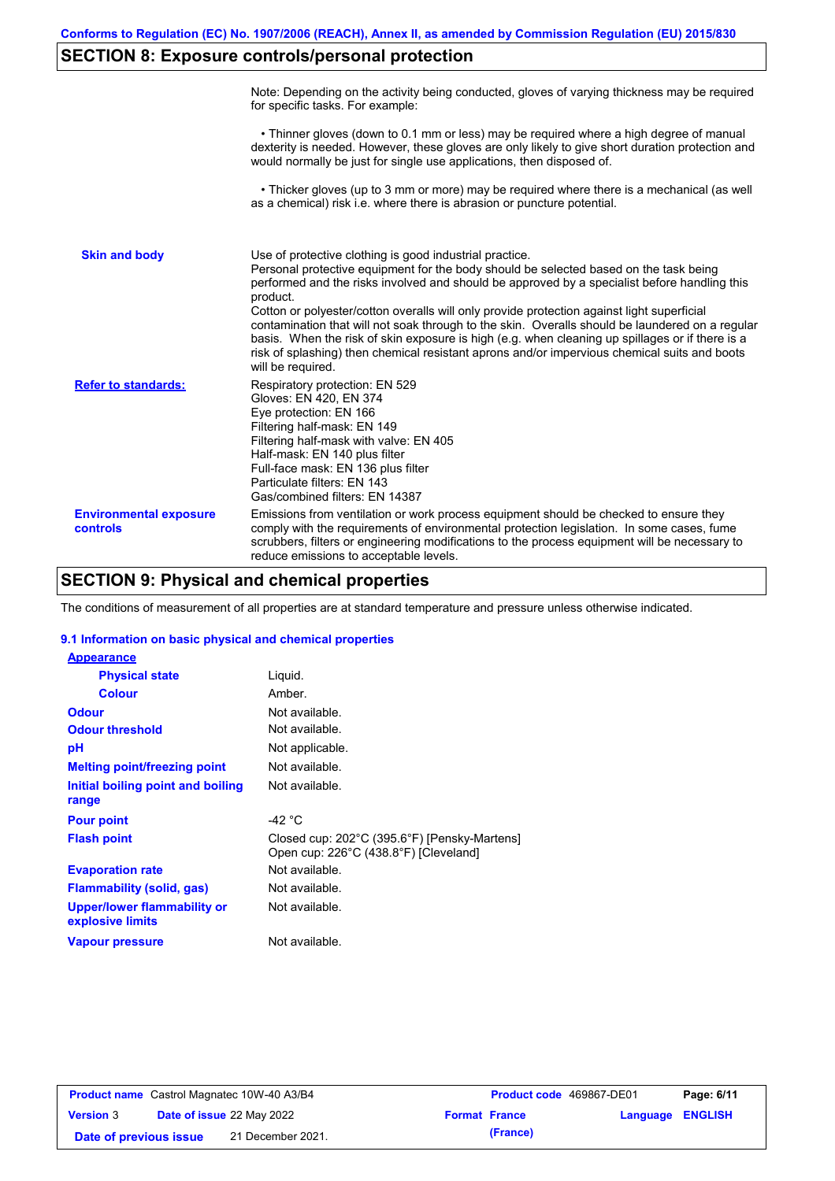# **SECTION 8: Exposure controls/personal protection**

|                                           | Note: Depending on the activity being conducted, gloves of varying thickness may be required<br>for specific tasks. For example:                                                                                                                                                                                                                                                                                                                                                                                                                                                                                                                                                      |
|-------------------------------------------|---------------------------------------------------------------------------------------------------------------------------------------------------------------------------------------------------------------------------------------------------------------------------------------------------------------------------------------------------------------------------------------------------------------------------------------------------------------------------------------------------------------------------------------------------------------------------------------------------------------------------------------------------------------------------------------|
|                                           | • Thinner gloves (down to 0.1 mm or less) may be required where a high degree of manual<br>dexterity is needed. However, these gloves are only likely to give short duration protection and<br>would normally be just for single use applications, then disposed of.                                                                                                                                                                                                                                                                                                                                                                                                                  |
|                                           | • Thicker gloves (up to 3 mm or more) may be required where there is a mechanical (as well<br>as a chemical) risk i.e. where there is abrasion or puncture potential.                                                                                                                                                                                                                                                                                                                                                                                                                                                                                                                 |
| <b>Skin and body</b>                      | Use of protective clothing is good industrial practice.<br>Personal protective equipment for the body should be selected based on the task being<br>performed and the risks involved and should be approved by a specialist before handling this<br>product.<br>Cotton or polyester/cotton overalls will only provide protection against light superficial<br>contamination that will not soak through to the skin. Overalls should be laundered on a regular<br>basis. When the risk of skin exposure is high (e.g. when cleaning up spillages or if there is a<br>risk of splashing) then chemical resistant aprons and/or impervious chemical suits and boots<br>will be required. |
| <b>Refer to standards:</b>                | Respiratory protection: EN 529<br>Gloves: EN 420, EN 374<br>Eye protection: EN 166<br>Filtering half-mask: EN 149<br>Filtering half-mask with valve: EN 405<br>Half-mask: EN 140 plus filter<br>Full-face mask: EN 136 plus filter<br>Particulate filters: EN 143<br>Gas/combined filters: EN 14387                                                                                                                                                                                                                                                                                                                                                                                   |
| <b>Environmental exposure</b><br>controls | Emissions from ventilation or work process equipment should be checked to ensure they<br>comply with the requirements of environmental protection legislation. In some cases, fume<br>scrubbers, filters or engineering modifications to the process equipment will be necessary to<br>reduce emissions to acceptable levels.                                                                                                                                                                                                                                                                                                                                                         |

# **SECTION 9: Physical and chemical properties**

The conditions of measurement of all properties are at standard temperature and pressure unless otherwise indicated.

### **9.1 Information on basic physical and chemical properties**

| <b>Appearance</b>                               |                                                                                       |
|-------------------------------------------------|---------------------------------------------------------------------------------------|
| <b>Physical state</b>                           | Liquid.                                                                               |
| <b>Colour</b>                                   | Amber.                                                                                |
| <b>Odour</b>                                    | Not available.                                                                        |
| <b>Odour threshold</b>                          | Not available.                                                                        |
| рH                                              | Not applicable.                                                                       |
| <b>Melting point/freezing point</b>             | Not available.                                                                        |
| Initial boiling point and boiling<br>range      | Not available.                                                                        |
| <b>Pour point</b>                               | -42 $^{\circ}$ C                                                                      |
| <b>Flash point</b>                              | Closed cup: 202°C (395.6°F) [Pensky-Martens]<br>Open cup: 226°C (438.8°F) [Cleveland] |
| <b>Evaporation rate</b>                         | Not available.                                                                        |
| <b>Flammability (solid, gas)</b>                | Not available.                                                                        |
| Upper/lower flammability or<br>explosive limits | Not available.                                                                        |
| <b>Vapour pressure</b>                          | Not available.                                                                        |

| <b>Product name</b> Castrol Magnatec 10W-40 A3/B4 |  | Product code 469867-DE01  |  | Page: 6/11           |                         |  |
|---------------------------------------------------|--|---------------------------|--|----------------------|-------------------------|--|
| <b>Version 3</b>                                  |  | Date of issue 22 May 2022 |  | <b>Format France</b> | <b>Language ENGLISH</b> |  |
| Date of previous issue                            |  | 21 December 2021.         |  | (France)             |                         |  |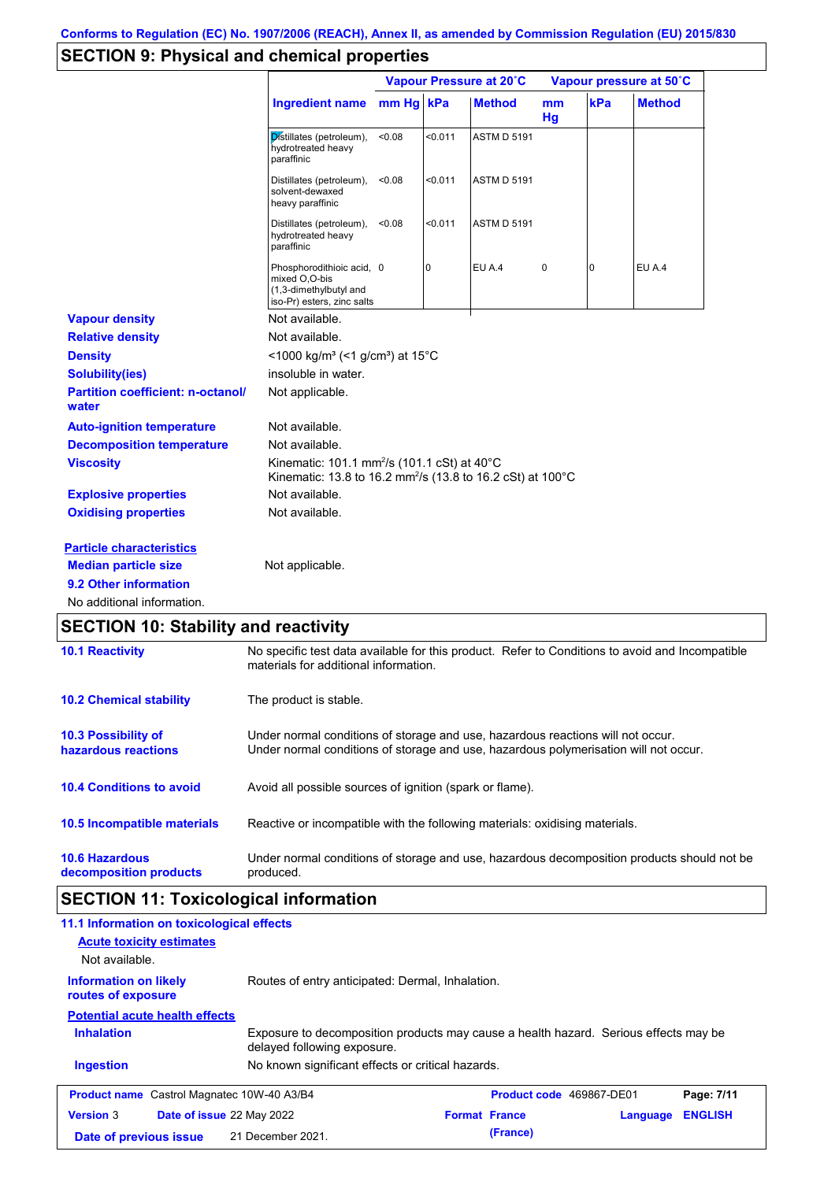# **SECTION 9: Physical and chemical properties**

|                                                   |                                                                                                                                   | Vapour Pressure at 20°C |         |                    | Vapour pressure at 50°C |     |               |
|---------------------------------------------------|-----------------------------------------------------------------------------------------------------------------------------------|-------------------------|---------|--------------------|-------------------------|-----|---------------|
|                                                   | <b>Ingredient name</b>                                                                                                            | mm Hg kPa               |         | <b>Method</b>      | mm<br>Hg                | kPa | <b>Method</b> |
|                                                   | Distillates (petroleum),<br>hydrotreated heavy<br>paraffinic                                                                      | < 0.08                  | < 0.011 | <b>ASTM D 5191</b> |                         |     |               |
|                                                   | Distillates (petroleum),<br>solvent-dewaxed<br>heavy paraffinic                                                                   | < 0.08                  | <0.011  | <b>ASTM D 5191</b> |                         |     |               |
|                                                   | Distillates (petroleum),<br>hydrotreated heavy<br>paraffinic                                                                      | < 0.08                  | < 0.011 | <b>ASTM D 5191</b> |                         |     |               |
|                                                   | Phosphorodithioic acid, 0<br>mixed O,O-bis<br>(1,3-dimethylbutyl and<br>iso-Pr) esters, zinc salts                                |                         | 0       | <b>EU A.4</b>      | $\pmb{0}$               | 0   | EU A.4        |
| <b>Vapour density</b>                             | Not available.                                                                                                                    |                         |         |                    |                         |     |               |
| <b>Relative density</b>                           | Not available.                                                                                                                    |                         |         |                    |                         |     |               |
| <b>Density</b>                                    | <1000 kg/m <sup>3</sup> (<1 g/cm <sup>3</sup> ) at 15°C                                                                           |                         |         |                    |                         |     |               |
| <b>Solubility(ies)</b>                            | insoluble in water.                                                                                                               |                         |         |                    |                         |     |               |
| <b>Partition coefficient: n-octanol/</b><br>water | Not applicable.                                                                                                                   |                         |         |                    |                         |     |               |
| <b>Auto-ignition temperature</b>                  | Not available.                                                                                                                    |                         |         |                    |                         |     |               |
| <b>Decomposition temperature</b>                  | Not available.                                                                                                                    |                         |         |                    |                         |     |               |
| <b>Viscosity</b>                                  | Kinematic: 101.1 mm <sup>2</sup> /s (101.1 cSt) at 40°C<br>Kinematic: 13.8 to 16.2 mm <sup>2</sup> /s (13.8 to 16.2 cSt) at 100°C |                         |         |                    |                         |     |               |
| <b>Explosive properties</b>                       | Not available.                                                                                                                    |                         |         |                    |                         |     |               |
| <b>Oxidising properties</b>                       | Not available.                                                                                                                    |                         |         |                    |                         |     |               |
| <b>Particle characteristics</b>                   |                                                                                                                                   |                         |         |                    |                         |     |               |
| <b>Median particle size</b>                       | Not applicable.                                                                                                                   |                         |         |                    |                         |     |               |
| 9.2 Other information                             |                                                                                                                                   |                         |         |                    |                         |     |               |
| No additional information.                        |                                                                                                                                   |                         |         |                    |                         |     |               |

| <b>10.1 Reactivity</b>                            | No specific test data available for this product. Refer to Conditions to avoid and Incompatible<br>materials for additional information.                                |
|---------------------------------------------------|-------------------------------------------------------------------------------------------------------------------------------------------------------------------------|
| <b>10.2 Chemical stability</b>                    | The product is stable.                                                                                                                                                  |
| <b>10.3 Possibility of</b><br>hazardous reactions | Under normal conditions of storage and use, hazardous reactions will not occur.<br>Under normal conditions of storage and use, hazardous polymerisation will not occur. |
| <b>10.4 Conditions to avoid</b>                   | Avoid all possible sources of ignition (spark or flame).                                                                                                                |
| 10.5 Incompatible materials                       | Reactive or incompatible with the following materials: oxidising materials.                                                                                             |
| <b>10.6 Hazardous</b><br>decomposition products   | Under normal conditions of storage and use, hazardous decomposition products should not be<br>produced.                                                                 |

# **SECTION 11: Toxicological information**

| 11.1 Information on toxicological effects<br><b>Acute toxicity estimates</b><br>Not available. |                                                                                                                     |                          |          |                |
|------------------------------------------------------------------------------------------------|---------------------------------------------------------------------------------------------------------------------|--------------------------|----------|----------------|
| <b>Information on likely</b><br>routes of exposure                                             | Routes of entry anticipated: Dermal, Inhalation.                                                                    |                          |          |                |
| <b>Potential acute health effects</b>                                                          |                                                                                                                     |                          |          |                |
| <b>Inhalation</b>                                                                              | Exposure to decomposition products may cause a health hazard. Serious effects may be<br>delayed following exposure. |                          |          |                |
| <b>Ingestion</b>                                                                               | No known significant effects or critical hazards.                                                                   |                          |          |                |
| <b>Product name</b> Castrol Magnatec 10W-40 A3/B4                                              |                                                                                                                     | Product code 469867-DE01 |          | Page: 7/11     |
| <b>Version 3</b><br>Date of issue 22 May 2022                                                  |                                                                                                                     | <b>Format France</b>     | Language | <b>ENGLISH</b> |
| Date of previous issue                                                                         | 21 December 2021.                                                                                                   | (France)                 |          |                |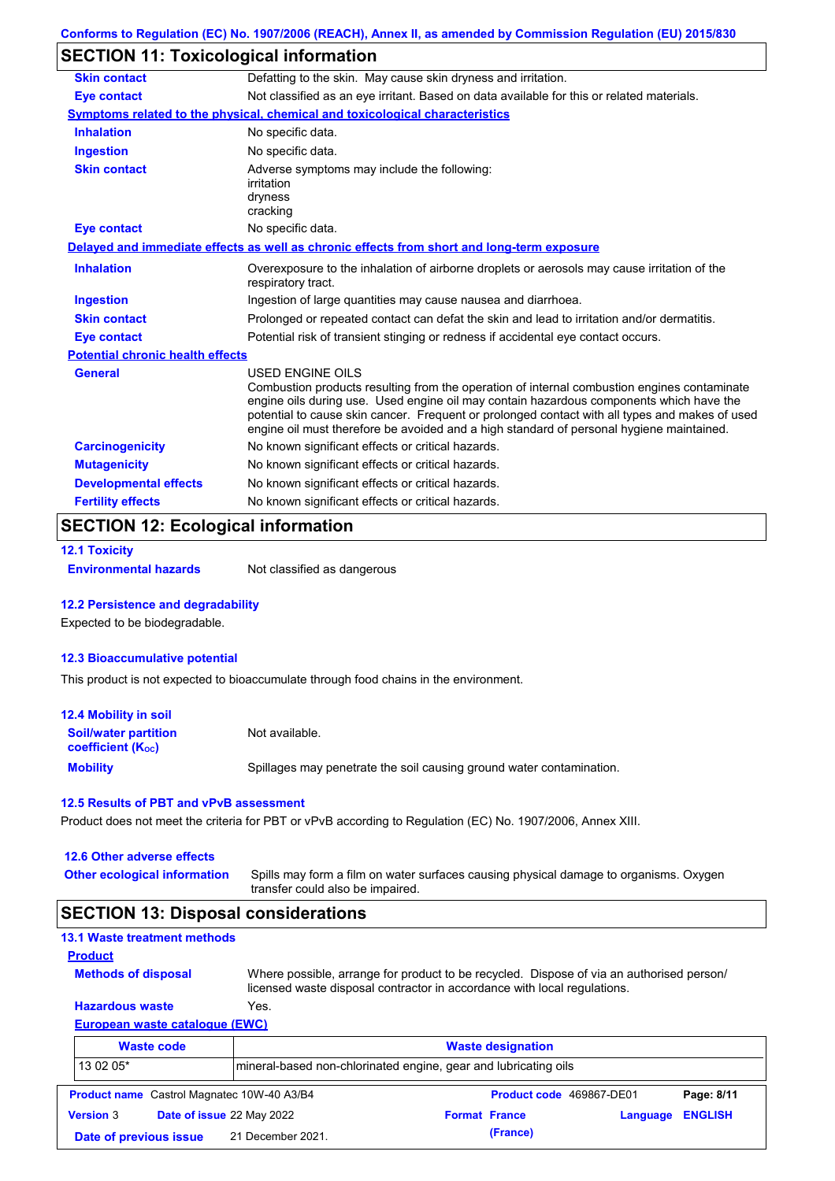# **SECTION 11: Toxicological information**

| <b>Skin contact</b>                     | Defatting to the skin. May cause skin dryness and irritation.                                                                                                                                                                                                                                                                                                                                                   |
|-----------------------------------------|-----------------------------------------------------------------------------------------------------------------------------------------------------------------------------------------------------------------------------------------------------------------------------------------------------------------------------------------------------------------------------------------------------------------|
| Eye contact                             | Not classified as an eye irritant. Based on data available for this or related materials.                                                                                                                                                                                                                                                                                                                       |
|                                         | Symptoms related to the physical, chemical and toxicological characteristics                                                                                                                                                                                                                                                                                                                                    |
| <b>Inhalation</b>                       | No specific data.                                                                                                                                                                                                                                                                                                                                                                                               |
| <b>Ingestion</b>                        | No specific data.                                                                                                                                                                                                                                                                                                                                                                                               |
| <b>Skin contact</b>                     | Adverse symptoms may include the following:<br>irritation<br>dryness<br>cracking                                                                                                                                                                                                                                                                                                                                |
| <b>Eye contact</b>                      | No specific data.                                                                                                                                                                                                                                                                                                                                                                                               |
|                                         | Delayed and immediate effects as well as chronic effects from short and long-term exposure                                                                                                                                                                                                                                                                                                                      |
| <b>Inhalation</b>                       | Overexposure to the inhalation of airborne droplets or aerosols may cause irritation of the<br>respiratory tract.                                                                                                                                                                                                                                                                                               |
| <b>Ingestion</b>                        | Ingestion of large quantities may cause nausea and diarrhoea.                                                                                                                                                                                                                                                                                                                                                   |
| <b>Skin contact</b>                     | Prolonged or repeated contact can defat the skin and lead to irritation and/or dermatitis.                                                                                                                                                                                                                                                                                                                      |
| <b>Eye contact</b>                      | Potential risk of transient stinging or redness if accidental eye contact occurs.                                                                                                                                                                                                                                                                                                                               |
| <b>Potential chronic health effects</b> |                                                                                                                                                                                                                                                                                                                                                                                                                 |
| <b>General</b>                          | <b>USED ENGINE OILS</b><br>Combustion products resulting from the operation of internal combustion engines contaminate<br>engine oils during use. Used engine oil may contain hazardous components which have the<br>potential to cause skin cancer. Frequent or prolonged contact with all types and makes of used<br>engine oil must therefore be avoided and a high standard of personal hygiene maintained. |
| <b>Carcinogenicity</b>                  | No known significant effects or critical hazards.                                                                                                                                                                                                                                                                                                                                                               |
| <b>Mutagenicity</b>                     | No known significant effects or critical hazards.                                                                                                                                                                                                                                                                                                                                                               |
| <b>Developmental effects</b>            | No known significant effects or critical hazards.                                                                                                                                                                                                                                                                                                                                                               |
| <b>Fertility effects</b>                | No known significant effects or critical hazards.                                                                                                                                                                                                                                                                                                                                                               |
| $\blacksquare$                          |                                                                                                                                                                                                                                                                                                                                                                                                                 |

# **SECTION 12: Ecological information**

```
12.1 Toxicity
```
**Environmental hazards** Not classified as dangerous

### **12.2 Persistence and degradability**

Expected to be biodegradable.

### **12.3 Bioaccumulative potential**

This product is not expected to bioaccumulate through food chains in the environment.

| <b>12.4 Mobility in soil</b>                            |                                                                      |
|---------------------------------------------------------|----------------------------------------------------------------------|
| <b>Soil/water partition</b><br><b>coefficient (Koc)</b> | Not available.                                                       |
| <b>Mobility</b>                                         | Spillages may penetrate the soil causing ground water contamination. |

### **12.5 Results of PBT and vPvB assessment**

Product does not meet the criteria for PBT or vPvB according to Regulation (EC) No. 1907/2006, Annex XIII.

| <b>12.6 Other adverse effects</b> |  |
|-----------------------------------|--|
|-----------------------------------|--|

**Other ecological information**

Spills may form a film on water surfaces causing physical damage to organisms. Oxygen transfer could also be impaired.

## **SECTION 13: Disposal considerations**

|  | <b>13.1 Waste treatment methods</b> |  |
|--|-------------------------------------|--|
|  |                                     |  |

**Methods of disposal Product**

Where possible, arrange for product to be recycled. Dispose of via an authorised person/ licensed waste disposal contractor in accordance with local regulations.

### **European waste catalogue (EWC) Hazardous waste** Yes.

|                        | <b>Waste code</b>                                 | <b>Waste designation</b> |                                                                  |          |                          |                |
|------------------------|---------------------------------------------------|--------------------------|------------------------------------------------------------------|----------|--------------------------|----------------|
| 13 02 05*              |                                                   |                          | Imineral-based non-chlorinated engine, gear and lubricating oils |          |                          |                |
|                        | <b>Product name</b> Castrol Magnatec 10W-40 A3/B4 |                          |                                                                  |          | Product code 469867-DE01 | Page: 8/11     |
| <b>Version 3</b>       | Date of issue 22 May 2022                         |                          | <b>Format France</b>                                             |          | Language                 | <b>ENGLISH</b> |
| Date of previous issue |                                                   | 21 December 2021.        |                                                                  | (France) |                          |                |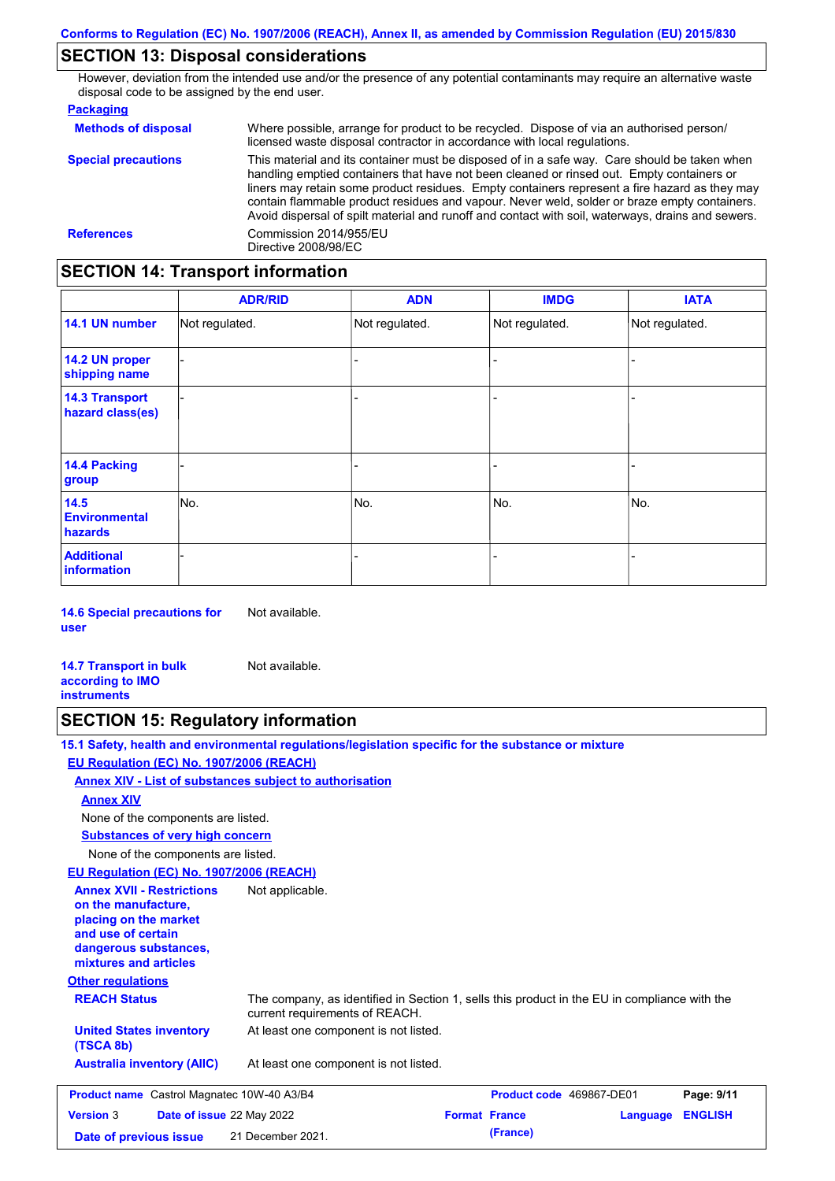# **SECTION 13: Disposal considerations**

However, deviation from the intended use and/or the presence of any potential contaminants may require an alternative waste disposal code to be assigned by the end user.

### **Packaging**

| <b>Methods of disposal</b> | Where possible, arrange for product to be recycled. Dispose of via an authorised person/<br>licensed waste disposal contractor in accordance with local regulations.                                                                                                                                                                                                                                                                                                                            |
|----------------------------|-------------------------------------------------------------------------------------------------------------------------------------------------------------------------------------------------------------------------------------------------------------------------------------------------------------------------------------------------------------------------------------------------------------------------------------------------------------------------------------------------|
| <b>Special precautions</b> | This material and its container must be disposed of in a safe way. Care should be taken when<br>handling emptied containers that have not been cleaned or rinsed out. Empty containers or<br>liners may retain some product residues. Empty containers represent a fire hazard as they may<br>contain flammable product residues and vapour. Never weld, solder or braze empty containers.<br>Avoid dispersal of spilt material and runoff and contact with soil, waterways, drains and sewers. |
| <b>References</b>          | Commission 2014/955/EU<br>Directive 2008/98/EC                                                                                                                                                                                                                                                                                                                                                                                                                                                  |

# **SECTION 14: Transport information**

|                                           | <b>ADR/RID</b> | <b>ADN</b>     | <b>IMDG</b>    | <b>IATA</b>    |  |
|-------------------------------------------|----------------|----------------|----------------|----------------|--|
| 14.1 UN number                            | Not regulated. | Not regulated. | Not regulated. | Not regulated. |  |
| 14.2 UN proper<br>shipping name           |                |                | -              |                |  |
| <b>14.3 Transport</b><br>hazard class(es) |                |                | -              |                |  |
| 14.4 Packing<br>group                     |                |                | -              |                |  |
| 14.5<br><b>Environmental</b><br>hazards   | No.            | No.            | No.            | No.            |  |
| <b>Additional</b><br><b>information</b>   |                |                |                |                |  |

**14.6 Special precautions for user** Not available.

**14.7 Transport in bulk according to IMO instruments** Not available.

# **SECTION 15: Regulatory information**

**15.1 Safety, health and environmental regulations/legislation specific for the substance or mixture**

### **EU Regulation (EC) No. 1907/2006 (REACH)**

**Annex XIV - List of substances subject to authorisation**

### **Annex XIV**

None of the components are listed.

**Substances of very high concern**

None of the components are listed.

### **EU Regulation (EC) No. 1907/2006 (REACH)**

**Other regulations REACH Status** The company, as identified in Section 1, sells this product in the EU in compliance with the current requirements of REACH. At least one component is not listed. **United States inventory** At least one component is not listed. **(TSCA 8b) Australia inventory (AIIC) Annex XVII - Restrictions on the manufacture, placing on the market and use of certain dangerous substances, mixtures and articles** Not applicable. **Product name** Castrol Magnatec 10W-40 A3/B4 **Product code 469867-DE01 Page: 9/11 Version** 3 **Date of issue** 22 May 2022 **Format France Language ENGLISH Date of previous issue (France)** 21 December 2021.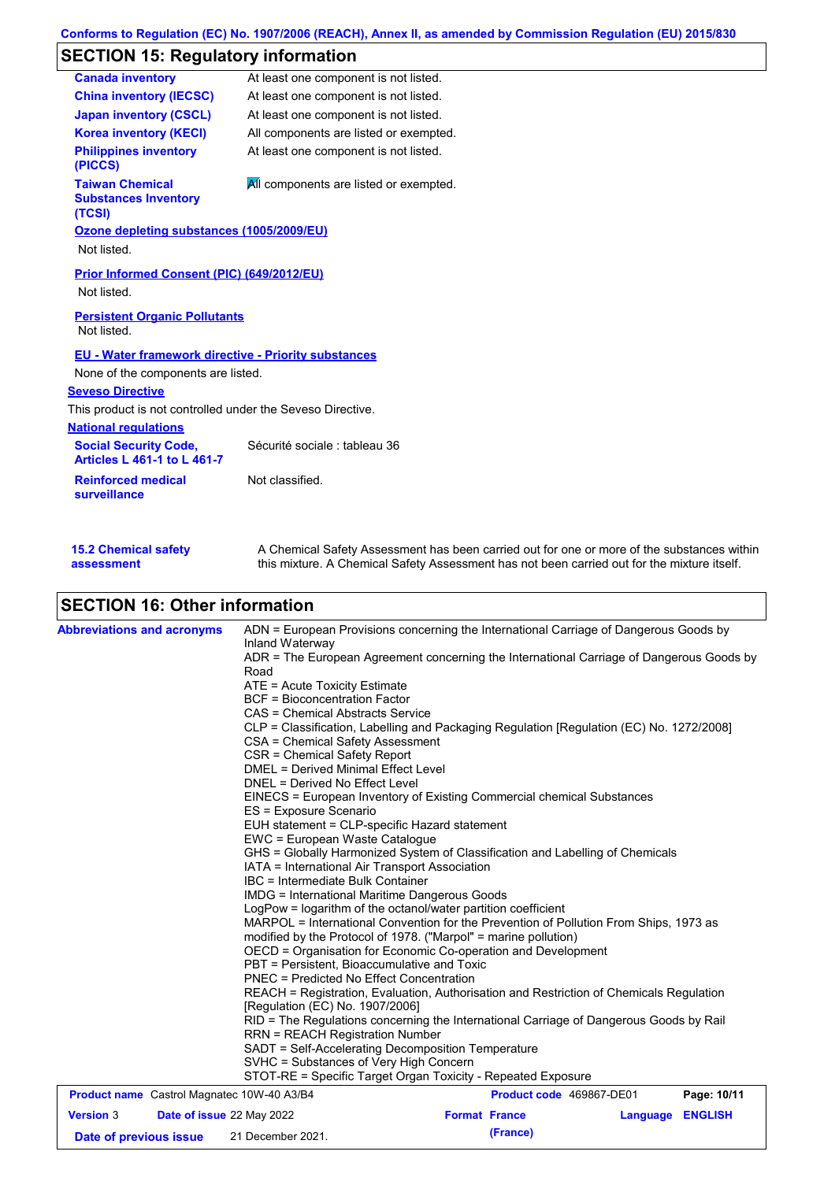# **SECTION 15: Regulatory information**

| <b>Canada inventory</b>                                            | At least one component is not listed.                                                                                                    |
|--------------------------------------------------------------------|------------------------------------------------------------------------------------------------------------------------------------------|
| <b>China inventory (IECSC)</b>                                     | At least one component is not listed.                                                                                                    |
| <b>Japan inventory (CSCL)</b>                                      | At least one component is not listed.                                                                                                    |
| <b>Korea inventory (KECI)</b>                                      | All components are listed or exempted.                                                                                                   |
| <b>Philippines inventory</b><br>(PICCS)                            | At least one component is not listed.                                                                                                    |
| <b>Taiwan Chemical</b><br><b>Substances Inventory</b><br>(TCSI)    | All components are listed or exempted.                                                                                                   |
| Ozone depleting substances (1005/2009/EU)<br>Not listed.           |                                                                                                                                          |
| Prior Informed Consent (PIC) (649/2012/EU)<br>Not listed.          |                                                                                                                                          |
| <b>Persistent Organic Pollutants</b><br>Not listed.                |                                                                                                                                          |
| EU - Water framework directive - Priority substances               |                                                                                                                                          |
| None of the components are listed.                                 |                                                                                                                                          |
| <b>Seveso Directive</b>                                            |                                                                                                                                          |
| This product is not controlled under the Seveso Directive.         |                                                                                                                                          |
| <b>National regulations</b>                                        |                                                                                                                                          |
| <b>Social Security Code,</b><br><b>Articles L 461-1 to L 461-7</b> | Sécurité sociale : tableau 36                                                                                                            |
| <b>Reinforced medical</b><br>surveillance                          | Not classified.                                                                                                                          |
| LE A AL COULCIL COLOR                                              | A $\bigcap$ b and all $\bigcap$ of the A constant in the set of a set of a state of<br>and the contract of the state of the state of the |

| <b>15.2 Chemical safety</b> | A Chemical Safety Assessment has been carried out for one or more of the substances within  |
|-----------------------------|---------------------------------------------------------------------------------------------|
| assessment                  | this mixture. A Chemical Safety Assessment has not been carried out for the mixture itself. |

# **SECTION 16: Other information**

| <b>Abbreviations and acronyms</b>                 | ADN = European Provisions concerning the International Carriage of Dangerous Goods by<br>Inland Waterway                                                                                                                  |                                                                        |          |                |  |  |  |  |
|---------------------------------------------------|---------------------------------------------------------------------------------------------------------------------------------------------------------------------------------------------------------------------------|------------------------------------------------------------------------|----------|----------------|--|--|--|--|
|                                                   | ADR = The European Agreement concerning the International Carriage of Dangerous Goods by<br>Road                                                                                                                          |                                                                        |          |                |  |  |  |  |
|                                                   | ATE = Acute Toxicity Estimate                                                                                                                                                                                             |                                                                        |          |                |  |  |  |  |
|                                                   | <b>BCF</b> = Bioconcentration Factor<br>CAS = Chemical Abstracts Service<br>CLP = Classification, Labelling and Packaging Regulation [Regulation (EC) No. 1272/2008]<br>CSA = Chemical Safety Assessment                  |                                                                        |          |                |  |  |  |  |
|                                                   |                                                                                                                                                                                                                           |                                                                        |          |                |  |  |  |  |
|                                                   |                                                                                                                                                                                                                           |                                                                        |          |                |  |  |  |  |
|                                                   |                                                                                                                                                                                                                           |                                                                        |          |                |  |  |  |  |
|                                                   | CSR = Chemical Safety Report                                                                                                                                                                                              |                                                                        |          |                |  |  |  |  |
|                                                   | <b>DMEL = Derived Minimal Effect Level</b>                                                                                                                                                                                |                                                                        |          |                |  |  |  |  |
|                                                   | DNEL = Derived No Effect Level                                                                                                                                                                                            |                                                                        |          |                |  |  |  |  |
|                                                   |                                                                                                                                                                                                                           | EINECS = European Inventory of Existing Commercial chemical Substances |          |                |  |  |  |  |
|                                                   | ES = Exposure Scenario                                                                                                                                                                                                    |                                                                        |          |                |  |  |  |  |
|                                                   |                                                                                                                                                                                                                           | EUH statement = CLP-specific Hazard statement                          |          |                |  |  |  |  |
|                                                   |                                                                                                                                                                                                                           | EWC = European Waste Catalogue                                         |          |                |  |  |  |  |
|                                                   | GHS = Globally Harmonized System of Classification and Labelling of Chemicals                                                                                                                                             |                                                                        |          |                |  |  |  |  |
|                                                   | IBC = Intermediate Bulk Container                                                                                                                                                                                         | IATA = International Air Transport Association                         |          |                |  |  |  |  |
|                                                   | IMDG = International Maritime Dangerous Goods                                                                                                                                                                             |                                                                        |          |                |  |  |  |  |
|                                                   | LogPow = logarithm of the octanol/water partition coefficient<br>MARPOL = International Convention for the Prevention of Pollution From Ships, 1973 as<br>modified by the Protocol of 1978. ("Marpol" = marine pollution) |                                                                        |          |                |  |  |  |  |
|                                                   |                                                                                                                                                                                                                           |                                                                        |          |                |  |  |  |  |
|                                                   |                                                                                                                                                                                                                           |                                                                        |          |                |  |  |  |  |
|                                                   | OECD = Organisation for Economic Co-operation and Development                                                                                                                                                             |                                                                        |          |                |  |  |  |  |
|                                                   |                                                                                                                                                                                                                           | PBT = Persistent. Bioaccumulative and Toxic                            |          |                |  |  |  |  |
|                                                   | <b>PNEC = Predicted No Effect Concentration</b>                                                                                                                                                                           |                                                                        |          |                |  |  |  |  |
|                                                   | REACH = Registration, Evaluation, Authorisation and Restriction of Chemicals Regulation                                                                                                                                   |                                                                        |          |                |  |  |  |  |
|                                                   | [Regulation (EC) No. 1907/2006]                                                                                                                                                                                           |                                                                        |          |                |  |  |  |  |
|                                                   | RID = The Regulations concerning the International Carriage of Dangerous Goods by Rail                                                                                                                                    |                                                                        |          |                |  |  |  |  |
|                                                   | <b>RRN = REACH Registration Number</b>                                                                                                                                                                                    |                                                                        |          |                |  |  |  |  |
|                                                   | SADT = Self-Accelerating Decomposition Temperature<br>SVHC = Substances of Very High Concern                                                                                                                              |                                                                        |          |                |  |  |  |  |
|                                                   |                                                                                                                                                                                                                           |                                                                        |          |                |  |  |  |  |
|                                                   | STOT-RE = Specific Target Organ Toxicity - Repeated Exposure                                                                                                                                                              |                                                                        |          |                |  |  |  |  |
| <b>Product name</b> Castrol Magnatec 10W-40 A3/B4 |                                                                                                                                                                                                                           | Product code 469867-DE01                                               |          | Page: 10/11    |  |  |  |  |
| <b>Version 3</b>                                  | Date of issue 22 May 2022                                                                                                                                                                                                 | <b>Format France</b>                                                   | Language | <b>ENGLISH</b> |  |  |  |  |
| Date of previous issue                            | 21 December 2021.                                                                                                                                                                                                         | (France)                                                               |          |                |  |  |  |  |